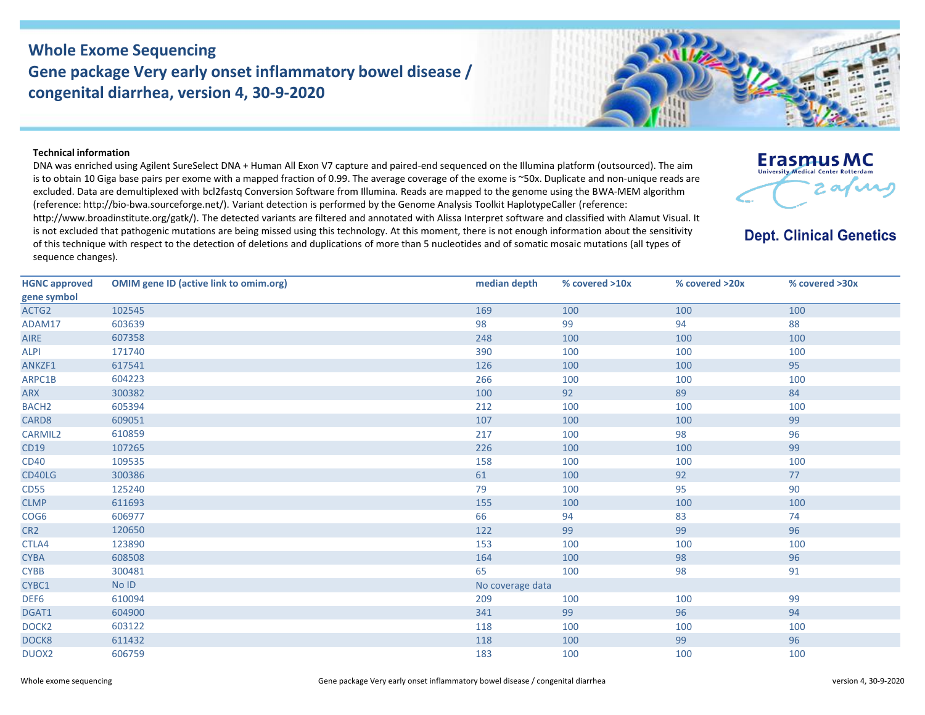## **Whole Exome Sequencing Gene package Very early onset inflammatory bowel disease / congenital diarrhea, version 4, 30-9-2020**



**Erasmus MC** University Medical Center Rotterdan

**Dept. Clinical Genetics** 

 $\boldsymbol{\alpha}$ 

## **Technical information**

DNA was enriched using Agilent SureSelect DNA + Human All Exon V7 capture and paired-end sequenced on the Illumina platform (outsourced). The aim is to obtain 10 Giga base pairs per exome with a mapped fraction of 0.99. The average coverage of the exome is ~50x. Duplicate and non-unique reads are excluded. Data are demultiplexed with bcl2fastq Conversion Software from Illumina. Reads are mapped to the genome using the BWA-MEM algorithm (reference: http://bio‐bwa.sourceforge.net/). Variant detection is performed by the Genome Analysis Toolkit HaplotypeCaller (reference: http://www.broadinstitute.org/gatk/). The detected variants are filtered and annotated with Alissa Interpret software and classified with Alamut Visual. It is not excluded that pathogenic mutations are being missed using this technology. At this moment, there is not enough information about the sensitivity of this technique with respect to the detection of deletions and duplications of more than 5 nucleotides and of somatic mosaic mutations (all types of sequence changes).

| <b>HGNC approved</b><br>gene symbol | <b>OMIM gene ID (active link to omim.org)</b> | median depth | % covered >10x   | % covered >20x | % covered >30x |  |  |
|-------------------------------------|-----------------------------------------------|--------------|------------------|----------------|----------------|--|--|
| ACTG2                               | 102545                                        | 169          | 100              | 100            | 100            |  |  |
| ADAM17                              | 603639                                        | 98           | 99               | 94             | 88             |  |  |
| <b>AIRE</b>                         | 607358                                        | 248          | 100              | 100            | 100            |  |  |
| <b>ALPI</b>                         | 171740                                        | 390          | 100              | 100            | 100            |  |  |
| ANKZF1                              | 617541                                        | 126          | 100              | 100            | 95             |  |  |
| ARPC1B                              | 604223                                        | 266          | 100              | 100            | 100            |  |  |
| <b>ARX</b>                          | 300382                                        | 100          | 92               | 89             | 84             |  |  |
| BACH <sub>2</sub>                   | 605394                                        | 212          | 100              | 100            | 100            |  |  |
| CARD8                               | 609051                                        | 107          | 100              | 100            | 99             |  |  |
| <b>CARMIL2</b>                      | 610859                                        | 217          | 100              | 98             | 96             |  |  |
| <b>CD19</b>                         | 107265                                        | 226          | 100              | 100            | 99             |  |  |
| <b>CD40</b>                         | 109535                                        | 158          | 100              | 100            | 100            |  |  |
| CD40LG                              | 300386                                        | 61           | 100              | 92             | 77             |  |  |
| <b>CD55</b>                         | 125240                                        | 79           | 100              | 95             | 90             |  |  |
| <b>CLMP</b>                         | 611693                                        | 155          | 100              | 100            | 100            |  |  |
| COG <sub>6</sub>                    | 606977                                        | 66           | 94               | 83             | 74             |  |  |
| CR <sub>2</sub>                     | 120650                                        | 122          | 99               | 99             | 96             |  |  |
| CTLA4                               | 123890                                        | 153          | 100              | 100            | 100            |  |  |
| <b>CYBA</b>                         | 608508                                        | 164          | 100              | 98             | 96             |  |  |
| <b>CYBB</b>                         | 300481                                        | 65           | 100              | 98             | 91             |  |  |
| CYBC1                               | No ID                                         |              | No coverage data |                |                |  |  |
| DEF6                                | 610094                                        | 209          | 100              | 100            | 99             |  |  |
| DGAT1                               | 604900                                        | 341          | 99               | 96             | 94             |  |  |
| DOCK <sub>2</sub>                   | 603122                                        | 118          | 100              | 100            | 100            |  |  |
| DOCK8                               | 611432                                        | 118          | 100              | 99             | 96             |  |  |
| DUOX2                               | 606759                                        | 183          | 100              | 100            | 100            |  |  |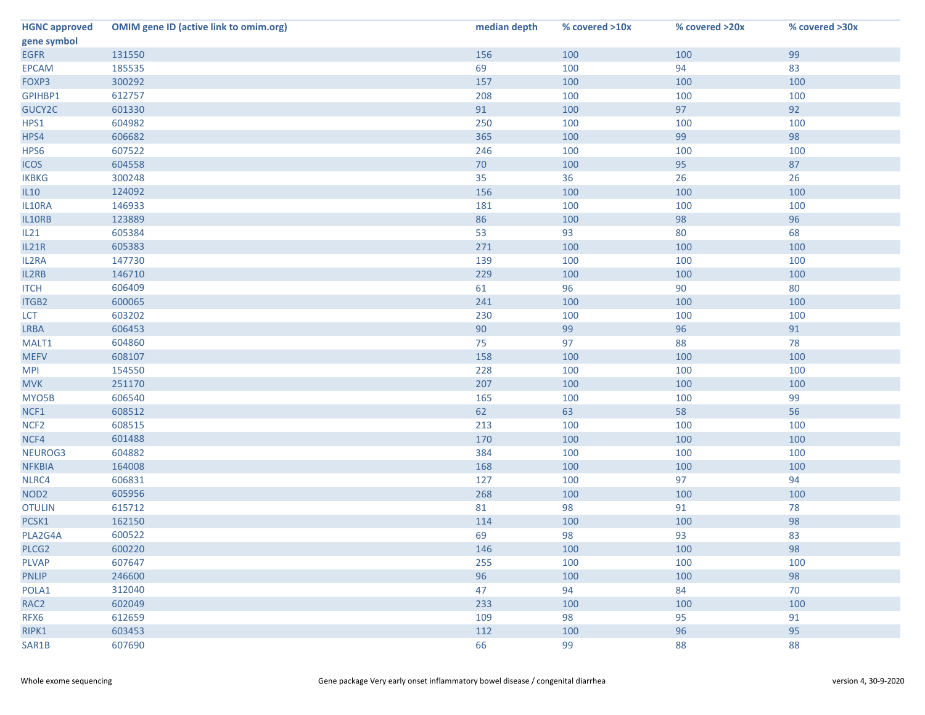| 99<br>131550<br>156<br>100<br>100<br>185535<br>69<br>94<br>83<br>100<br>300292<br>100<br>157<br>100<br>100<br>612757<br>208<br>100<br>100<br>100<br>92<br>91<br>97<br>601330<br>100<br>100<br>604982<br>250<br>100<br>100<br>98<br>606682<br>99<br>365<br>100<br>607522<br>246<br>100<br>100<br>100<br>604558<br>70<br>95<br>87<br>100<br>300248<br>35<br>36<br>26<br>26<br>100<br>124092<br>156<br>100<br>100<br>146933<br>181<br>100<br>100<br>100<br>96<br>123889<br>86<br>98<br>100<br>68<br>605384<br>53<br>93<br>80<br>605383<br>271<br>100<br>100<br>100<br>147730<br>139<br>100<br>100<br>100<br>229<br>IL2RB<br>146710<br>100<br>100<br>100<br>606409<br>61<br>80<br>96<br>90<br>600065<br>241<br>100<br>100<br>ITGB2<br>100<br>603202<br>230<br>100<br>100<br>100<br>606453<br>90<br>99<br>91<br>96<br>75<br>78<br>604860<br>97<br>88<br>608107<br>158<br>100<br>100<br>100<br>154550<br>228<br>100<br>100<br>100<br>207<br>251170<br>100<br>100<br>100<br>606540<br>99<br>165<br>100<br>100<br>56<br>62<br>608512<br>63<br>58<br>608515<br>213<br>100<br>100<br>100<br>601488<br>170<br>100<br>100<br>100<br>384<br>604882<br>100<br>100<br>100<br>168<br>164008<br>100<br>100<br>100<br>606831<br>97<br>94<br>127<br>100<br>605956<br>100<br>268<br>100<br>100<br>615712<br>81<br>98<br>91<br>78<br>98<br>162150<br>114<br>100<br>100<br>PLA2G4A<br>69<br>600522<br>98<br>93<br>83<br>98<br>PLCG2<br>600220<br>146<br>100<br>100<br><b>PLVAP</b><br>100<br>607647<br>255<br>100<br>100<br>98<br>246600<br>96<br><b>PNLIP</b><br>100<br>100<br>312040<br>70<br>POLA1<br>47<br>94<br>84<br>233<br>100<br>602049<br>100<br>100 | <b>HGNC approved</b> | <b>OMIM gene ID (active link to omim.org)</b> | median depth | % covered >10x | % covered >20x | % covered >30x |
|-----------------------------------------------------------------------------------------------------------------------------------------------------------------------------------------------------------------------------------------------------------------------------------------------------------------------------------------------------------------------------------------------------------------------------------------------------------------------------------------------------------------------------------------------------------------------------------------------------------------------------------------------------------------------------------------------------------------------------------------------------------------------------------------------------------------------------------------------------------------------------------------------------------------------------------------------------------------------------------------------------------------------------------------------------------------------------------------------------------------------------------------------------------------------------------------------------------------------------------------------------------------------------------------------------------------------------------------------------------------------------------------------------------------------------------------------------------------------------------------------------------------------------------------------------------------------------------------------------------------------------------------|----------------------|-----------------------------------------------|--------------|----------------|----------------|----------------|
|                                                                                                                                                                                                                                                                                                                                                                                                                                                                                                                                                                                                                                                                                                                                                                                                                                                                                                                                                                                                                                                                                                                                                                                                                                                                                                                                                                                                                                                                                                                                                                                                                                         | gene symbol          |                                               |              |                |                |                |
|                                                                                                                                                                                                                                                                                                                                                                                                                                                                                                                                                                                                                                                                                                                                                                                                                                                                                                                                                                                                                                                                                                                                                                                                                                                                                                                                                                                                                                                                                                                                                                                                                                         | <b>EGFR</b>          |                                               |              |                |                |                |
|                                                                                                                                                                                                                                                                                                                                                                                                                                                                                                                                                                                                                                                                                                                                                                                                                                                                                                                                                                                                                                                                                                                                                                                                                                                                                                                                                                                                                                                                                                                                                                                                                                         | <b>EPCAM</b>         |                                               |              |                |                |                |
|                                                                                                                                                                                                                                                                                                                                                                                                                                                                                                                                                                                                                                                                                                                                                                                                                                                                                                                                                                                                                                                                                                                                                                                                                                                                                                                                                                                                                                                                                                                                                                                                                                         | FOXP3                |                                               |              |                |                |                |
|                                                                                                                                                                                                                                                                                                                                                                                                                                                                                                                                                                                                                                                                                                                                                                                                                                                                                                                                                                                                                                                                                                                                                                                                                                                                                                                                                                                                                                                                                                                                                                                                                                         | GPIHBP1              |                                               |              |                |                |                |
|                                                                                                                                                                                                                                                                                                                                                                                                                                                                                                                                                                                                                                                                                                                                                                                                                                                                                                                                                                                                                                                                                                                                                                                                                                                                                                                                                                                                                                                                                                                                                                                                                                         | GUCY2C               |                                               |              |                |                |                |
|                                                                                                                                                                                                                                                                                                                                                                                                                                                                                                                                                                                                                                                                                                                                                                                                                                                                                                                                                                                                                                                                                                                                                                                                                                                                                                                                                                                                                                                                                                                                                                                                                                         | HPS1                 |                                               |              |                |                |                |
|                                                                                                                                                                                                                                                                                                                                                                                                                                                                                                                                                                                                                                                                                                                                                                                                                                                                                                                                                                                                                                                                                                                                                                                                                                                                                                                                                                                                                                                                                                                                                                                                                                         | HPS4                 |                                               |              |                |                |                |
|                                                                                                                                                                                                                                                                                                                                                                                                                                                                                                                                                                                                                                                                                                                                                                                                                                                                                                                                                                                                                                                                                                                                                                                                                                                                                                                                                                                                                                                                                                                                                                                                                                         | HPS6                 |                                               |              |                |                |                |
|                                                                                                                                                                                                                                                                                                                                                                                                                                                                                                                                                                                                                                                                                                                                                                                                                                                                                                                                                                                                                                                                                                                                                                                                                                                                                                                                                                                                                                                                                                                                                                                                                                         | <b>ICOS</b>          |                                               |              |                |                |                |
|                                                                                                                                                                                                                                                                                                                                                                                                                                                                                                                                                                                                                                                                                                                                                                                                                                                                                                                                                                                                                                                                                                                                                                                                                                                                                                                                                                                                                                                                                                                                                                                                                                         | <b>IKBKG</b>         |                                               |              |                |                |                |
|                                                                                                                                                                                                                                                                                                                                                                                                                                                                                                                                                                                                                                                                                                                                                                                                                                                                                                                                                                                                                                                                                                                                                                                                                                                                                                                                                                                                                                                                                                                                                                                                                                         | IL10                 |                                               |              |                |                |                |
|                                                                                                                                                                                                                                                                                                                                                                                                                                                                                                                                                                                                                                                                                                                                                                                                                                                                                                                                                                                                                                                                                                                                                                                                                                                                                                                                                                                                                                                                                                                                                                                                                                         | IL10RA               |                                               |              |                |                |                |
|                                                                                                                                                                                                                                                                                                                                                                                                                                                                                                                                                                                                                                                                                                                                                                                                                                                                                                                                                                                                                                                                                                                                                                                                                                                                                                                                                                                                                                                                                                                                                                                                                                         | IL10RB               |                                               |              |                |                |                |
|                                                                                                                                                                                                                                                                                                                                                                                                                                                                                                                                                                                                                                                                                                                                                                                                                                                                                                                                                                                                                                                                                                                                                                                                                                                                                                                                                                                                                                                                                                                                                                                                                                         | IL21                 |                                               |              |                |                |                |
|                                                                                                                                                                                                                                                                                                                                                                                                                                                                                                                                                                                                                                                                                                                                                                                                                                                                                                                                                                                                                                                                                                                                                                                                                                                                                                                                                                                                                                                                                                                                                                                                                                         | IL21R                |                                               |              |                |                |                |
|                                                                                                                                                                                                                                                                                                                                                                                                                                                                                                                                                                                                                                                                                                                                                                                                                                                                                                                                                                                                                                                                                                                                                                                                                                                                                                                                                                                                                                                                                                                                                                                                                                         | IL2RA                |                                               |              |                |                |                |
|                                                                                                                                                                                                                                                                                                                                                                                                                                                                                                                                                                                                                                                                                                                                                                                                                                                                                                                                                                                                                                                                                                                                                                                                                                                                                                                                                                                                                                                                                                                                                                                                                                         |                      |                                               |              |                |                |                |
|                                                                                                                                                                                                                                                                                                                                                                                                                                                                                                                                                                                                                                                                                                                                                                                                                                                                                                                                                                                                                                                                                                                                                                                                                                                                                                                                                                                                                                                                                                                                                                                                                                         | <b>ITCH</b>          |                                               |              |                |                |                |
|                                                                                                                                                                                                                                                                                                                                                                                                                                                                                                                                                                                                                                                                                                                                                                                                                                                                                                                                                                                                                                                                                                                                                                                                                                                                                                                                                                                                                                                                                                                                                                                                                                         |                      |                                               |              |                |                |                |
|                                                                                                                                                                                                                                                                                                                                                                                                                                                                                                                                                                                                                                                                                                                                                                                                                                                                                                                                                                                                                                                                                                                                                                                                                                                                                                                                                                                                                                                                                                                                                                                                                                         | <b>LCT</b>           |                                               |              |                |                |                |
|                                                                                                                                                                                                                                                                                                                                                                                                                                                                                                                                                                                                                                                                                                                                                                                                                                                                                                                                                                                                                                                                                                                                                                                                                                                                                                                                                                                                                                                                                                                                                                                                                                         | <b>LRBA</b>          |                                               |              |                |                |                |
|                                                                                                                                                                                                                                                                                                                                                                                                                                                                                                                                                                                                                                                                                                                                                                                                                                                                                                                                                                                                                                                                                                                                                                                                                                                                                                                                                                                                                                                                                                                                                                                                                                         | MALT1                |                                               |              |                |                |                |
|                                                                                                                                                                                                                                                                                                                                                                                                                                                                                                                                                                                                                                                                                                                                                                                                                                                                                                                                                                                                                                                                                                                                                                                                                                                                                                                                                                                                                                                                                                                                                                                                                                         | <b>MEFV</b>          |                                               |              |                |                |                |
|                                                                                                                                                                                                                                                                                                                                                                                                                                                                                                                                                                                                                                                                                                                                                                                                                                                                                                                                                                                                                                                                                                                                                                                                                                                                                                                                                                                                                                                                                                                                                                                                                                         | <b>MPI</b>           |                                               |              |                |                |                |
|                                                                                                                                                                                                                                                                                                                                                                                                                                                                                                                                                                                                                                                                                                                                                                                                                                                                                                                                                                                                                                                                                                                                                                                                                                                                                                                                                                                                                                                                                                                                                                                                                                         | <b>MVK</b>           |                                               |              |                |                |                |
|                                                                                                                                                                                                                                                                                                                                                                                                                                                                                                                                                                                                                                                                                                                                                                                                                                                                                                                                                                                                                                                                                                                                                                                                                                                                                                                                                                                                                                                                                                                                                                                                                                         | MYO5B                |                                               |              |                |                |                |
|                                                                                                                                                                                                                                                                                                                                                                                                                                                                                                                                                                                                                                                                                                                                                                                                                                                                                                                                                                                                                                                                                                                                                                                                                                                                                                                                                                                                                                                                                                                                                                                                                                         | NCF1                 |                                               |              |                |                |                |
|                                                                                                                                                                                                                                                                                                                                                                                                                                                                                                                                                                                                                                                                                                                                                                                                                                                                                                                                                                                                                                                                                                                                                                                                                                                                                                                                                                                                                                                                                                                                                                                                                                         | NCF <sub>2</sub>     |                                               |              |                |                |                |
|                                                                                                                                                                                                                                                                                                                                                                                                                                                                                                                                                                                                                                                                                                                                                                                                                                                                                                                                                                                                                                                                                                                                                                                                                                                                                                                                                                                                                                                                                                                                                                                                                                         | NCF4                 |                                               |              |                |                |                |
|                                                                                                                                                                                                                                                                                                                                                                                                                                                                                                                                                                                                                                                                                                                                                                                                                                                                                                                                                                                                                                                                                                                                                                                                                                                                                                                                                                                                                                                                                                                                                                                                                                         | NEUROG3              |                                               |              |                |                |                |
|                                                                                                                                                                                                                                                                                                                                                                                                                                                                                                                                                                                                                                                                                                                                                                                                                                                                                                                                                                                                                                                                                                                                                                                                                                                                                                                                                                                                                                                                                                                                                                                                                                         | <b>NFKBIA</b>        |                                               |              |                |                |                |
|                                                                                                                                                                                                                                                                                                                                                                                                                                                                                                                                                                                                                                                                                                                                                                                                                                                                                                                                                                                                                                                                                                                                                                                                                                                                                                                                                                                                                                                                                                                                                                                                                                         | NLRC4                |                                               |              |                |                |                |
|                                                                                                                                                                                                                                                                                                                                                                                                                                                                                                                                                                                                                                                                                                                                                                                                                                                                                                                                                                                                                                                                                                                                                                                                                                                                                                                                                                                                                                                                                                                                                                                                                                         | NOD <sub>2</sub>     |                                               |              |                |                |                |
|                                                                                                                                                                                                                                                                                                                                                                                                                                                                                                                                                                                                                                                                                                                                                                                                                                                                                                                                                                                                                                                                                                                                                                                                                                                                                                                                                                                                                                                                                                                                                                                                                                         | <b>OTULIN</b>        |                                               |              |                |                |                |
|                                                                                                                                                                                                                                                                                                                                                                                                                                                                                                                                                                                                                                                                                                                                                                                                                                                                                                                                                                                                                                                                                                                                                                                                                                                                                                                                                                                                                                                                                                                                                                                                                                         | PCSK1                |                                               |              |                |                |                |
|                                                                                                                                                                                                                                                                                                                                                                                                                                                                                                                                                                                                                                                                                                                                                                                                                                                                                                                                                                                                                                                                                                                                                                                                                                                                                                                                                                                                                                                                                                                                                                                                                                         |                      |                                               |              |                |                |                |
|                                                                                                                                                                                                                                                                                                                                                                                                                                                                                                                                                                                                                                                                                                                                                                                                                                                                                                                                                                                                                                                                                                                                                                                                                                                                                                                                                                                                                                                                                                                                                                                                                                         |                      |                                               |              |                |                |                |
|                                                                                                                                                                                                                                                                                                                                                                                                                                                                                                                                                                                                                                                                                                                                                                                                                                                                                                                                                                                                                                                                                                                                                                                                                                                                                                                                                                                                                                                                                                                                                                                                                                         |                      |                                               |              |                |                |                |
|                                                                                                                                                                                                                                                                                                                                                                                                                                                                                                                                                                                                                                                                                                                                                                                                                                                                                                                                                                                                                                                                                                                                                                                                                                                                                                                                                                                                                                                                                                                                                                                                                                         |                      |                                               |              |                |                |                |
|                                                                                                                                                                                                                                                                                                                                                                                                                                                                                                                                                                                                                                                                                                                                                                                                                                                                                                                                                                                                                                                                                                                                                                                                                                                                                                                                                                                                                                                                                                                                                                                                                                         |                      |                                               |              |                |                |                |
|                                                                                                                                                                                                                                                                                                                                                                                                                                                                                                                                                                                                                                                                                                                                                                                                                                                                                                                                                                                                                                                                                                                                                                                                                                                                                                                                                                                                                                                                                                                                                                                                                                         | RAC <sub>2</sub>     |                                               |              |                |                |                |
| 91<br>612659<br>98<br>95<br>109                                                                                                                                                                                                                                                                                                                                                                                                                                                                                                                                                                                                                                                                                                                                                                                                                                                                                                                                                                                                                                                                                                                                                                                                                                                                                                                                                                                                                                                                                                                                                                                                         | RFX6                 |                                               |              |                |                |                |
| 603453<br>95<br>112<br>96<br>100                                                                                                                                                                                                                                                                                                                                                                                                                                                                                                                                                                                                                                                                                                                                                                                                                                                                                                                                                                                                                                                                                                                                                                                                                                                                                                                                                                                                                                                                                                                                                                                                        | RIPK1                |                                               |              |                |                |                |
| 66<br>607690<br>99<br>88<br>88                                                                                                                                                                                                                                                                                                                                                                                                                                                                                                                                                                                                                                                                                                                                                                                                                                                                                                                                                                                                                                                                                                                                                                                                                                                                                                                                                                                                                                                                                                                                                                                                          | SAR1B                |                                               |              |                |                |                |